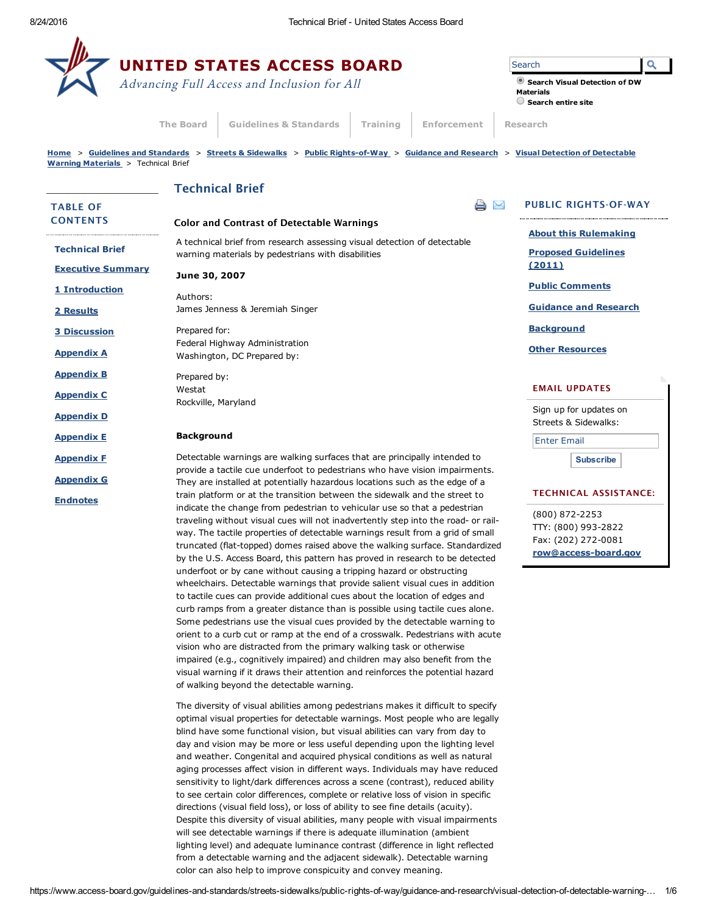$\mathbf{r}$ 

|                                                                                                                                                                            |                                                                                                                                                                                                                                                                                                                                                                                                              | <b>UNITED STATES ACCESS BOARD</b><br>Advancing Full Access and Inclusion for All                                                                                                                                                                                                                                                                                                                                                                                                                                                                                                                                                                                                                     |                              |                    | Q<br>Search<br>Search Visual Detection of DW<br><b>Materials</b>                                                                      |
|----------------------------------------------------------------------------------------------------------------------------------------------------------------------------|--------------------------------------------------------------------------------------------------------------------------------------------------------------------------------------------------------------------------------------------------------------------------------------------------------------------------------------------------------------------------------------------------------------|------------------------------------------------------------------------------------------------------------------------------------------------------------------------------------------------------------------------------------------------------------------------------------------------------------------------------------------------------------------------------------------------------------------------------------------------------------------------------------------------------------------------------------------------------------------------------------------------------------------------------------------------------------------------------------------------------|------------------------------|--------------------|---------------------------------------------------------------------------------------------------------------------------------------|
|                                                                                                                                                                            | <b>The Board</b>                                                                                                                                                                                                                                                                                                                                                                                             | <b>Guidelines &amp; Standards</b>                                                                                                                                                                                                                                                                                                                                                                                                                                                                                                                                                                                                                                                                    | Training                     | <b>Enforcement</b> | $\bigcirc$ Search entire site<br><b>Research</b>                                                                                      |
| Warning Materials > Technical Brief                                                                                                                                        |                                                                                                                                                                                                                                                                                                                                                                                                              |                                                                                                                                                                                                                                                                                                                                                                                                                                                                                                                                                                                                                                                                                                      |                              |                    | Home > Guidelines and Standards > Streets & Sidewalks > Public Rights-of-Way > Guidance and Research > Visual Detection of Detectable |
|                                                                                                                                                                            |                                                                                                                                                                                                                                                                                                                                                                                                              | <b>Technical Brief</b>                                                                                                                                                                                                                                                                                                                                                                                                                                                                                                                                                                                                                                                                               |                              |                    |                                                                                                                                       |
| <b>TABLE OF</b><br><b>CONTENTS</b>                                                                                                                                         |                                                                                                                                                                                                                                                                                                                                                                                                              | <b>Color and Contrast of Detectable Warnings</b>                                                                                                                                                                                                                                                                                                                                                                                                                                                                                                                                                                                                                                                     |                              |                    | <b>PUBLIC RIGHTS-OF-WAY</b><br>$\Join$                                                                                                |
| <b>Technical Brief</b>                                                                                                                                                     | A technical brief from research assessing visual detection of detectable<br>warning materials by pedestrians with disabilities                                                                                                                                                                                                                                                                               |                                                                                                                                                                                                                                                                                                                                                                                                                                                                                                                                                                                                                                                                                                      |                              |                    | <b>About this Rulemaking</b><br><b>Proposed Guidelines</b>                                                                            |
| <b>Executive Summary</b>                                                                                                                                                   | June 30, 2007                                                                                                                                                                                                                                                                                                                                                                                                |                                                                                                                                                                                                                                                                                                                                                                                                                                                                                                                                                                                                                                                                                                      | (2011)                       |                    |                                                                                                                                       |
| 1 Introduction                                                                                                                                                             | Authors:                                                                                                                                                                                                                                                                                                                                                                                                     |                                                                                                                                                                                                                                                                                                                                                                                                                                                                                                                                                                                                                                                                                                      | <b>Public Comments</b>       |                    |                                                                                                                                       |
| 2 Results                                                                                                                                                                  |                                                                                                                                                                                                                                                                                                                                                                                                              | James Jenness & Jeremiah Singer                                                                                                                                                                                                                                                                                                                                                                                                                                                                                                                                                                                                                                                                      | <b>Guidance and Research</b> |                    |                                                                                                                                       |
| <b>3 Discussion</b>                                                                                                                                                        | Prepared for:                                                                                                                                                                                                                                                                                                                                                                                                | Federal Highway Administration                                                                                                                                                                                                                                                                                                                                                                                                                                                                                                                                                                                                                                                                       | <b>Background</b>            |                    |                                                                                                                                       |
| <b>Appendix A</b>                                                                                                                                                          |                                                                                                                                                                                                                                                                                                                                                                                                              | Washington, DC Prepared by:                                                                                                                                                                                                                                                                                                                                                                                                                                                                                                                                                                                                                                                                          |                              |                    | <b>Other Resources</b>                                                                                                                |
| <b>Appendix B</b><br><b>Appendix C</b>                                                                                                                                     | Prepared by:<br>Westat                                                                                                                                                                                                                                                                                                                                                                                       |                                                                                                                                                                                                                                                                                                                                                                                                                                                                                                                                                                                                                                                                                                      |                              |                    | <b>EMAIL UPDATES</b>                                                                                                                  |
| <b>Appendix D</b>                                                                                                                                                          | Rockville, Maryland                                                                                                                                                                                                                                                                                                                                                                                          |                                                                                                                                                                                                                                                                                                                                                                                                                                                                                                                                                                                                                                                                                                      |                              |                    | Sign up for updates on                                                                                                                |
| <b>Appendix E</b>                                                                                                                                                          | <b>Background</b>                                                                                                                                                                                                                                                                                                                                                                                            |                                                                                                                                                                                                                                                                                                                                                                                                                                                                                                                                                                                                                                                                                                      |                              |                    | Streets & Sidewalks:<br><b>Enter Email</b>                                                                                            |
| <b>Appendix F</b>                                                                                                                                                          |                                                                                                                                                                                                                                                                                                                                                                                                              | Detectable warnings are walking surfaces that are principally intended to                                                                                                                                                                                                                                                                                                                                                                                                                                                                                                                                                                                                                            |                              |                    | <b>Subscribe</b>                                                                                                                      |
| <b>Appendix G</b>                                                                                                                                                          |                                                                                                                                                                                                                                                                                                                                                                                                              | provide a tactile cue underfoot to pedestrians who have vision impairments.<br>They are installed at potentially hazardous locations such as the edge of a                                                                                                                                                                                                                                                                                                                                                                                                                                                                                                                                           |                              |                    |                                                                                                                                       |
| train platform or at the transition between the sidewalk and the street to<br><b>Endnotes</b><br>indicate the change from pedestrian to vehicular use so that a pedestrian |                                                                                                                                                                                                                                                                                                                                                                                                              |                                                                                                                                                                                                                                                                                                                                                                                                                                                                                                                                                                                                                                                                                                      |                              |                    | <b>TECHNICAL ASSISTANCE:</b>                                                                                                          |
|                                                                                                                                                                            | traveling without visual cues will not inadvertently step into the road- or rail-<br>way. The tactile properties of detectable warnings result from a grid of small<br>truncated (flat-topped) domes raised above the walking surface. Standardized<br>by the U.S. Access Board, this pattern has proved in research to be detected<br>underfoot or by cane without causing a tripping hazard or obstructing |                                                                                                                                                                                                                                                                                                                                                                                                                                                                                                                                                                                                                                                                                                      |                              |                    | (800) 872-2253<br>TTY: (800) 993-2822<br>Fax: (202) 272-0081<br>row@access-board.gov                                                  |
|                                                                                                                                                                            |                                                                                                                                                                                                                                                                                                                                                                                                              | wheelchairs. Detectable warnings that provide salient visual cues in addition<br>to tactile cues can provide additional cues about the location of edges and<br>curb ramps from a greater distance than is possible using tactile cues alone.<br>Some pedestrians use the visual cues provided by the detectable warning to<br>orient to a curb cut or ramp at the end of a crosswalk. Pedestrians with acute<br>vision who are distracted from the primary walking task or otherwise<br>impaired (e.g., cognitively impaired) and children may also benefit from the<br>visual warning if it draws their attention and reinforces the potential hazard<br>of walking beyond the detectable warning. |                              |                    |                                                                                                                                       |
|                                                                                                                                                                            |                                                                                                                                                                                                                                                                                                                                                                                                              | The diversity of visual abilities among pedestrians makes it difficult to specify<br>optimal visual properties for detectable warnings. Most people who are legally<br>blind have some functional vision, but visual abilities can vary from day to<br>day and vision may be more or less useful depending upon the lighting level<br>and weather. Congenital and acquired physical conditions as well as natural                                                                                                                                                                                                                                                                                    |                              |                    |                                                                                                                                       |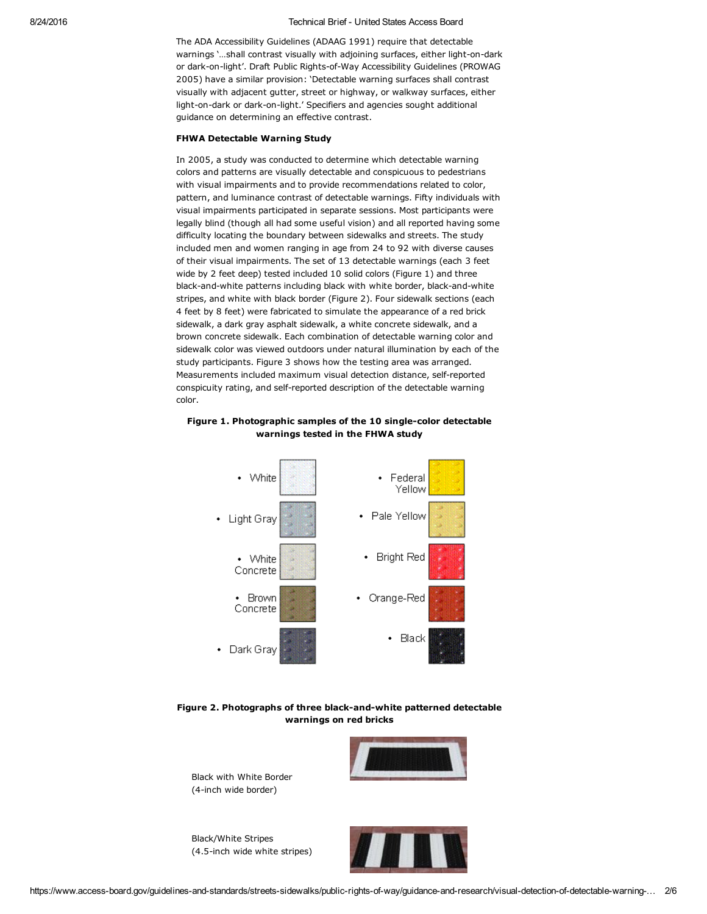### 8/24/2016 Technical Brief United States Access Board

The ADA Accessibility Guidelines (ADAAG 1991) require that detectable warnings '...shall contrast visually with adjoining surfaces, either light-on-dark or dark-on-light'. Draft Public Rights-of-Way Accessibility Guidelines (PROWAG 2005) have a similar provision: 'Detectable warning surfaces shall contrast visually with adjacent gutter, street or highway, or walkway surfaces, either light-on-dark or dark-on-light.' Specifiers and agencies sought additional guidance on determining an effective contrast.

### FHWA Detectable Warning Study

In 2005, a study was conducted to determine which detectable warning colors and patterns are visually detectable and conspicuous to pedestrians with visual impairments and to provide recommendations related to color, pattern, and luminance contrast of detectable warnings. Fifty individuals with visual impairments participated in separate sessions. Most participants were legally blind (though all had some useful vision) and all reported having some difficulty locating the boundary between sidewalks and streets. The study included men and women ranging in age from 24 to 92 with diverse causes of their visual impairments. The set of 13 detectable warnings (each 3 feet wide by 2 feet deep) tested included 10 solid colors (Figure 1) and three black-and-white patterns including black with white border, black-and-white stripes, and white with black border (Figure 2). Four sidewalk sections (each 4 feet by 8 feet) were fabricated to simulate the appearance of a red brick sidewalk, a dark gray asphalt sidewalk, a white concrete sidewalk, and a brown concrete sidewalk. Each combination of detectable warning color and sidewalk color was viewed outdoors under natural illumination by each of the study participants. Figure 3 shows how the testing area was arranged. Measurements included maximum visual detection distance, self-reported conspicuity rating, and self-reported description of the detectable warning color.





Figure 2. Photographs of three black-and-white patterned detectable warnings on red bricks

Black with White Border (4-inch wide border)

Black/White Stripes (4.5-inch wide white stripes)



https://www.access-board.gov/guidelines-and-standards/streets-sidewalks/public-rights-of-way/guidance-and-research/visual-detection-of-detectable-warning-... 2/6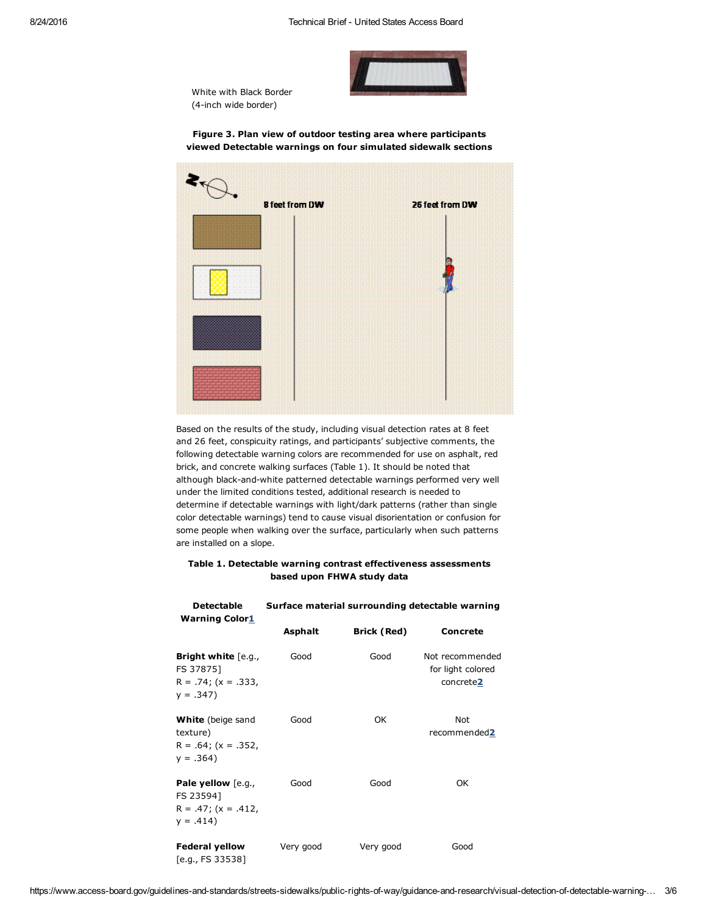





Figure 3. Plan view of outdoor testing area where participants viewed Detectable warnings on four simulated sidewalk sections

Based on the results of the study, including visual detection rates at 8 feet and 26 feet, conspicuity ratings, and participants' subjective comments, the following detectable warning colors are recommended for use on asphalt, red brick, and concrete walking surfaces (Table 1). It should be noted that although black-and-white patterned detectable warnings performed very well under the limited conditions tested, additional research is needed to determine if detectable warnings with light/dark patterns (rather than single color detectable warnings) tend to cause visual disorientation or confusion for some people when walking over the surface, particularly when such patterns are installed on a slope.

# Table 1. Detectable warning contrast effectiveness assessments based upon FHWA study data

| <b>Detectable</b><br><b>Warning Color1</b>                                   | Surface material surrounding detectable warning |                    |                                                   |  |  |
|------------------------------------------------------------------------------|-------------------------------------------------|--------------------|---------------------------------------------------|--|--|
|                                                                              | <b>Asphalt</b>                                  | <b>Brick (Red)</b> | <b>Concrete</b>                                   |  |  |
| Bright white [e.g.,<br>FS 378751<br>$R = .74$ ; (x = .333,<br>$y = .347$     | Good                                            | Good               | Not recommended<br>for light colored<br>concrete2 |  |  |
| <b>White</b> (beige sand<br>texture)<br>$R = .64$ ; (x = .352,<br>$y = .364$ | Good                                            | OK                 | Not<br>recommended2                               |  |  |
| Pale yellow [e.g.,<br>FS 235941<br>$R = .47$ ; (x = .412,<br>$y = .414$      | Good                                            | Good               | OK                                                |  |  |
| <b>Federal yellow</b><br>[e.g., FS 33538]                                    | Very good                                       | Very good          | Good                                              |  |  |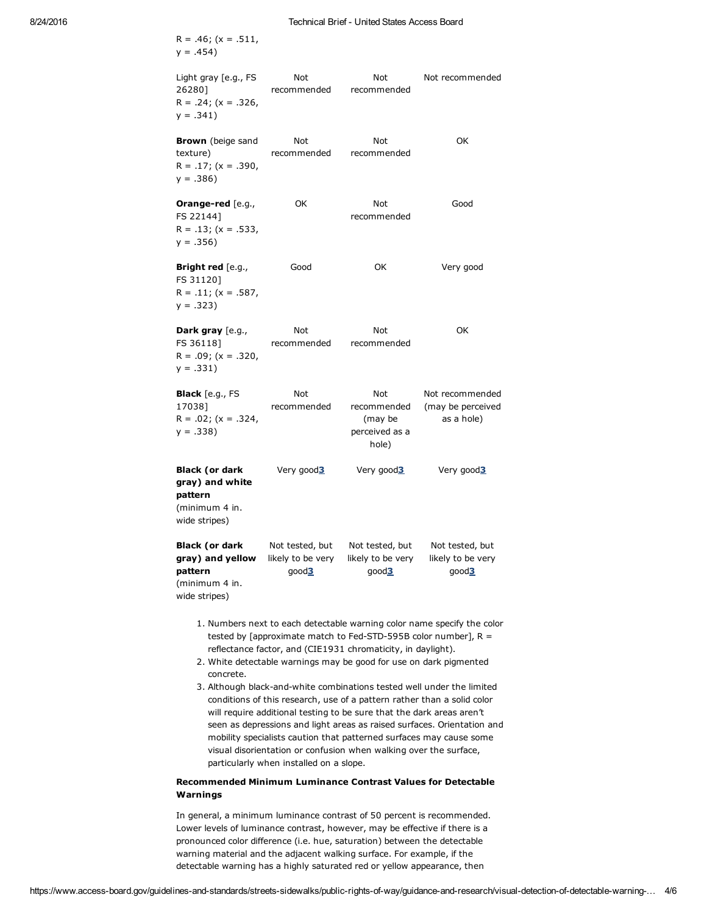$R = .46$ ; (x = .511,  $y = .454$ Light gray [e.g., FS 26280]  $R = .24$ ; (x = .326,  $y = .341$ Not recommended Not recommended Not recommended **Brown** (beige sand texture)  $R = .17$ ; (x = .390,  $y = .386$ Not recommended Not recommended OK Orange-red [e.g., FS 22144]  $R = .13$ ; (x = .533,  $y = .356$ OK Not recommended Good Bright red [e.g., FS 31120]  $R = .11$ ; (x = .587,  $y = .323$ Good OK Very good Dark gray [e.g., FS 36118]  $R = .09$ ; (x = .320,  $y = .331$ Not recommended Not recommended OK Black [e.g., FS 17038]  $R = .02$ ; (x = .324,  $y = .338$ Not recommended Not recommended (may be perceived as a hole) Not recommended (may be perceived as a hole) Black (or dark gray) and white pattern (minimum 4 in. wide stripes) Very good3 Very good3 Very good3 Black (or dark gray) and yellow pattern (minimum 4 in. wide stripes) Not tested, but likely to be very good3 Not tested, but likely to be very good3 Not tested, but likely to be very good3

- 1. Numbers next to each detectable warning color name specify the color tested by [approximate match to Fed-STD-595B color number],  $R =$ reflectance factor, and (CIE1931 chromaticity, in daylight).
- 2. White detectable warnings may be good for use on dark pigmented concrete.
- 3. Although black-and-white combinations tested well under the limited conditions of this research, use of a pattern rather than a solid color will require additional testing to be sure that the dark areas aren't seen as depressions and light areas as raised surfaces. Orientation and mobility specialists caution that patterned surfaces may cause some visual disorientation or confusion when walking over the surface, particularly when installed on a slope.

## Recommended Minimum Luminance Contrast Values for Detectable Warnings

In general, a minimum luminance contrast of 50 percent is recommended. Lower levels of luminance contrast, however, may be effective if there is a pronounced color difference (i.e. hue, saturation) between the detectable warning material and the adjacent walking surface. For example, if the detectable warning has a highly saturated red or yellow appearance, then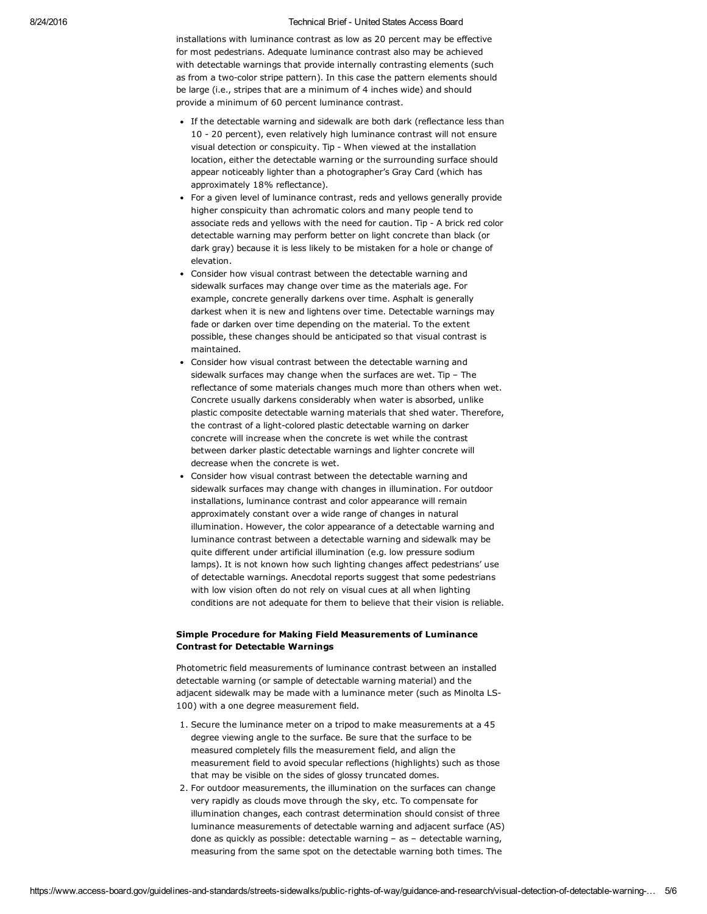### 8/24/2016 Technical Brief United States Access Board

installations with luminance contrast as low as 20 percent may be effective for most pedestrians. Adequate luminance contrast also may be achieved with detectable warnings that provide internally contrasting elements (such as from a two-color stripe pattern). In this case the pattern elements should be large (i.e., stripes that are a minimum of 4 inches wide) and should provide a minimum of 60 percent luminance contrast.

- If the detectable warning and sidewalk are both dark (reflectance less than 10 20 percent), even relatively high luminance contrast will not ensure visual detection or conspicuity. Tip - When viewed at the installation location, either the detectable warning or the surrounding surface should appear noticeably lighter than a photographer's Gray Card (which has approximately 18% reflectance).
- For a given level of luminance contrast, reds and yellows generally provide higher conspicuity than achromatic colors and many people tend to associate reds and yellows with the need for caution. Tip - A brick red color detectable warning may perform better on light concrete than black (or dark gray) because it is less likely to be mistaken for a hole or change of elevation.
- Consider how visual contrast between the detectable warning and sidewalk surfaces may change over time as the materials age. For example, concrete generally darkens over time. Asphalt is generally darkest when it is new and lightens over time. Detectable warnings may fade or darken over time depending on the material. To the extent possible, these changes should be anticipated so that visual contrast is maintained.
- Consider how visual contrast between the detectable warning and sidewalk surfaces may change when the surfaces are wet. Tip – The reflectance of some materials changes much more than others when wet. Concrete usually darkens considerably when water is absorbed, unlike plastic composite detectable warning materials that shed water. Therefore, the contrast of a light-colored plastic detectable warning on darker concrete will increase when the concrete is wet while the contrast between darker plastic detectable warnings and lighter concrete will decrease when the concrete is wet.
- Consider how visual contrast between the detectable warning and sidewalk surfaces may change with changes in illumination. For outdoor installations, luminance contrast and color appearance will remain approximately constant over a wide range of changes in natural illumination. However, the color appearance of a detectable warning and luminance contrast between a detectable warning and sidewalk may be quite different under artificial illumination (e.g. low pressure sodium lamps). It is not known how such lighting changes affect pedestrians' use of detectable warnings. Anecdotal reports suggest that some pedestrians with low vision often do not rely on visual cues at all when lighting conditions are not adequate for them to believe that their vision is reliable.

## Simple Procedure for Making Field Measurements of Luminance Contrast for Detectable Warnings

Photometric field measurements of luminance contrast between an installed detectable warning (or sample of detectable warning material) and the adjacent sidewalk may be made with a luminance meter (such as Minolta LS-100) with a one degree measurement field.

- 1. Secure the luminance meter on a tripod to make measurements at a 45 degree viewing angle to the surface. Be sure that the surface to be measured completely fills the measurement field, and align the measurement field to avoid specular reflections (highlights) such as those that may be visible on the sides of glossy truncated domes.
- 2. For outdoor measurements, the illumination on the surfaces can change very rapidly as clouds move through the sky, etc. To compensate for illumination changes, each contrast determination should consist of three luminance measurements of detectable warning and adjacent surface (AS) done as quickly as possible: detectable warning – as – detectable warning, measuring from the same spot on the detectable warning both times. The